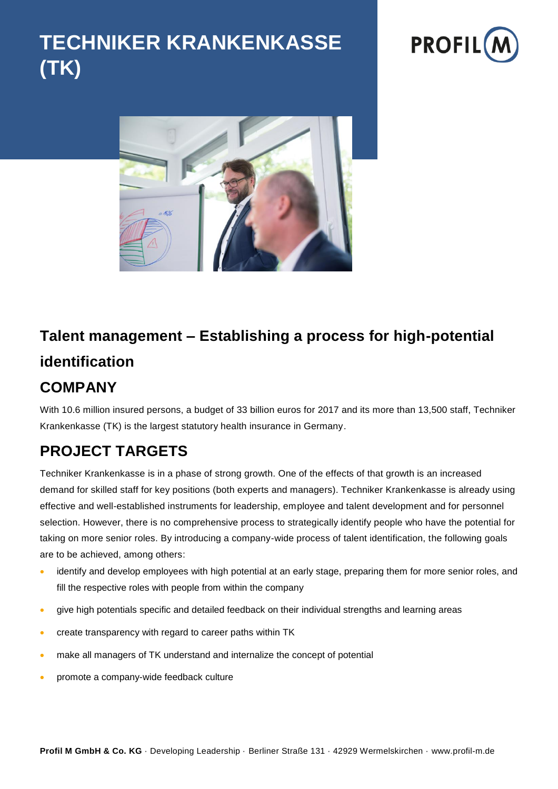# **TECHNIKER KRANKENKASSE (TK)**





# **Talent management – Establishing a process for high-potential identification**

#### **COMPANY**

With 10.6 million insured persons, a budget of 33 billion euros for 2017 and its more than 13,500 staff, Techniker Krankenkasse (TK) is the largest statutory health insurance in Germany.

## **PROJECT TARGETS**

Techniker Krankenkasse is in a phase of strong growth. One of the effects of that growth is an increased demand for skilled staff for key positions (both experts and managers). Techniker Krankenkasse is already using effective and well-established instruments for leadership, employee and talent development and for personnel selection. However, there is no comprehensive process to strategically identify people who have the potential for taking on more senior roles. By introducing a company-wide process of talent identification, the following goals are to be achieved, among others:

- identify and develop employees with high potential at an early stage, preparing them for more senior roles, and fill the respective roles with people from within the company
- give high potentials specific and detailed feedback on their individual strengths and learning areas
- create transparency with regard to career paths within TK
- make all managers of TK understand and internalize the concept of potential
- promote a company-wide feedback culture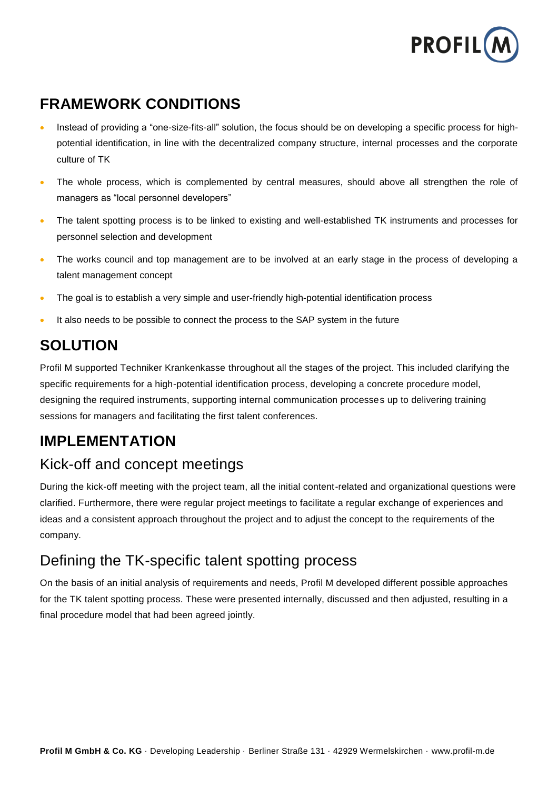

### **FRAMEWORK CONDITIONS**

- Instead of providing a "one-size-fits-all" solution, the focus should be on developing a specific process for highpotential identification, in line with the decentralized company structure, internal processes and the corporate culture of TK
- The whole process, which is complemented by central measures, should above all strengthen the role of managers as "local personnel developers"
- The talent spotting process is to be linked to existing and well-established TK instruments and processes for personnel selection and development
- The works council and top management are to be involved at an early stage in the process of developing a talent management concept
- The goal is to establish a very simple and user-friendly high-potential identification process
- It also needs to be possible to connect the process to the SAP system in the future

#### **SOLUTION**

Profil M supported Techniker Krankenkasse throughout all the stages of the project. This included clarifying the specific requirements for a high-potential identification process, developing a concrete procedure model, designing the required instruments, supporting internal communication processes up to delivering training sessions for managers and facilitating the first talent conferences.

#### **IMPLEMENTATION**

#### Kick-off and concept meetings

During the kick-off meeting with the project team, all the initial content-related and organizational questions were clarified. Furthermore, there were regular project meetings to facilitate a regular exchange of experiences and ideas and a consistent approach throughout the project and to adjust the concept to the requirements of the company.

#### Defining the TK-specific talent spotting process

On the basis of an initial analysis of requirements and needs, Profil M developed different possible approaches for the TK talent spotting process. These were presented internally, discussed and then adjusted, resulting in a final procedure model that had been agreed jointly.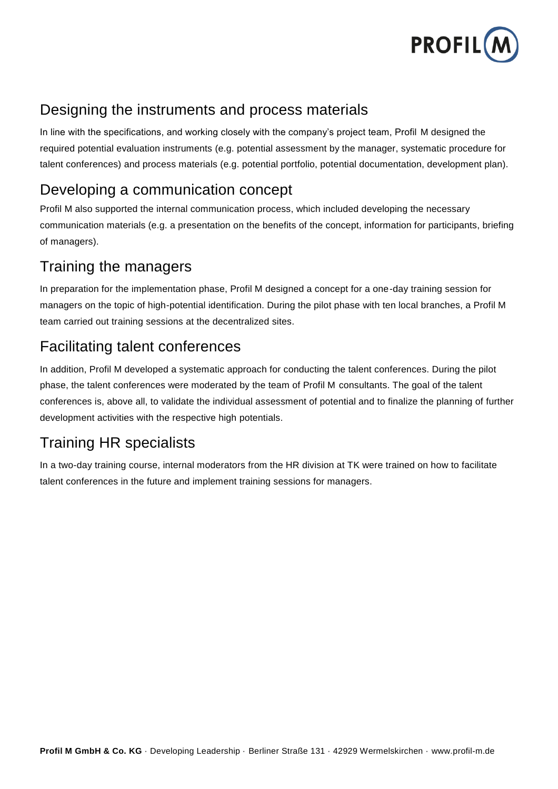

#### Designing the instruments and process materials

In line with the specifications, and working closely with the company's project team, Profil M designed the required potential evaluation instruments (e.g. potential assessment by the manager, systematic procedure for talent conferences) and process materials (e.g. potential portfolio, potential documentation, development plan).

#### Developing a communication concept

Profil M also supported the internal communication process, which included developing the necessary communication materials (e.g. a presentation on the benefits of the concept, information for participants, briefing of managers).

#### Training the managers

In preparation for the implementation phase, Profil M designed a concept for a one-day training session for managers on the topic of high-potential identification. During the pilot phase with ten local branches, a Profil M team carried out training sessions at the decentralized sites.

#### Facilitating talent conferences

In addition, Profil M developed a systematic approach for conducting the talent conferences. During the pilot phase, the talent conferences were moderated by the team of Profil M consultants. The goal of the talent conferences is, above all, to validate the individual assessment of potential and to finalize the planning of further development activities with the respective high potentials.

#### Training HR specialists

In a two-day training course, internal moderators from the HR division at TK were trained on how to facilitate talent conferences in the future and implement training sessions for managers.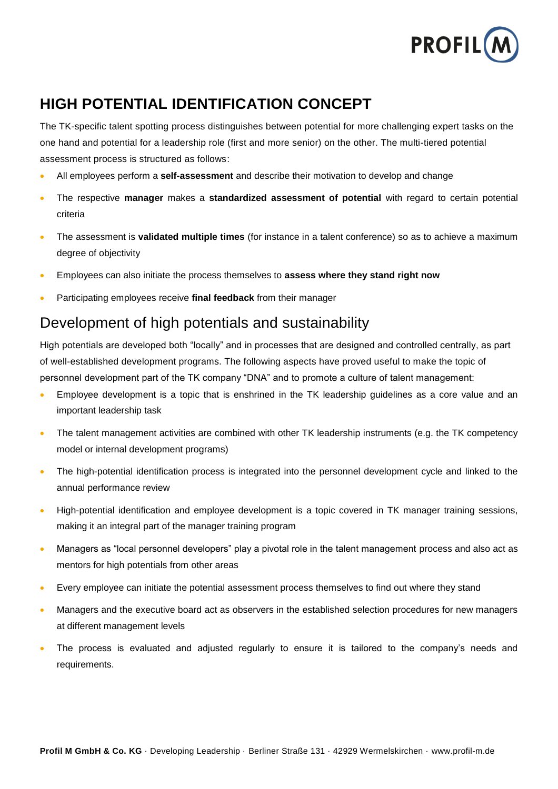

### **HIGH POTENTIAL IDENTIFICATION CONCEPT**

The TK-specific talent spotting process distinguishes between potential for more challenging expert tasks on the one hand and potential for a leadership role (first and more senior) on the other. The multi-tiered potential assessment process is structured as follows:

- All employees perform a **self-assessment** and describe their motivation to develop and change
- The respective **manager** makes a **standardized assessment of potential** with regard to certain potential criteria
- The assessment is **validated multiple times** (for instance in a talent conference) so as to achieve a maximum degree of objectivity
- Employees can also initiate the process themselves to **assess where they stand right now**
- Participating employees receive **final feedback** from their manager

#### Development of high potentials and sustainability

High potentials are developed both "locally" and in processes that are designed and controlled centrally, as part of well-established development programs. The following aspects have proved useful to make the topic of personnel development part of the TK company "DNA" and to promote a culture of talent management:

- Employee development is a topic that is enshrined in the TK leadership guidelines as a core value and an important leadership task
- The talent management activities are combined with other TK leadership instruments (e.g. the TK competency model or internal development programs)
- The high-potential identification process is integrated into the personnel development cycle and linked to the annual performance review
- High-potential identification and employee development is a topic covered in TK manager training sessions, making it an integral part of the manager training program
- Managers as "local personnel developers" play a pivotal role in the talent management process and also act as mentors for high potentials from other areas
- Every employee can initiate the potential assessment process themselves to find out where they stand
- Managers and the executive board act as observers in the established selection procedures for new managers at different management levels
- The process is evaluated and adjusted regularly to ensure it is tailored to the company's needs and requirements.